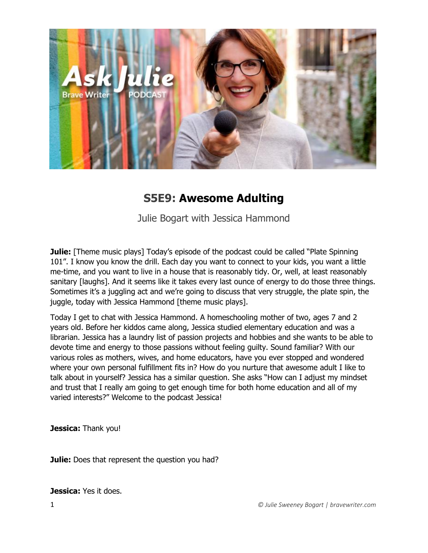

# **S5E9: Awesome Adulting**

Julie Bogart with Jessica Hammond

**Julie:** [Theme music plays] Today's episode of the podcast could be called "Plate Spinning" 101". I know you know the drill. Each day you want to connect to your kids, you want a little me-time, and you want to live in a house that is reasonably tidy. Or, well, at least reasonably sanitary [laughs]. And it seems like it takes every last ounce of energy to do those three things. Sometimes it's a juggling act and we're going to discuss that very struggle, the plate spin, the juggle, today with Jessica Hammond [theme music plays].

Today I get to chat with Jessica Hammond. A homeschooling mother of two, ages 7 and 2 years old. Before her kiddos came along, Jessica studied elementary education and was a librarian. Jessica has a laundry list of passion projects and hobbies and she wants to be able to devote time and energy to those passions without feeling guilty. Sound familiar? With our various roles as mothers, wives, and home educators, have you ever stopped and wondered where your own personal fulfillment fits in? How do you nurture that awesome adult I like to talk about in yourself? Jessica has a similar question. She asks "How can I adjust my mindset and trust that I really am going to get enough time for both home education and all of my varied interests?" Welcome to the podcast Jessica!

**Jessica:** Thank you!

**Julie:** Does that represent the question you had?

**Jessica:** Yes it does.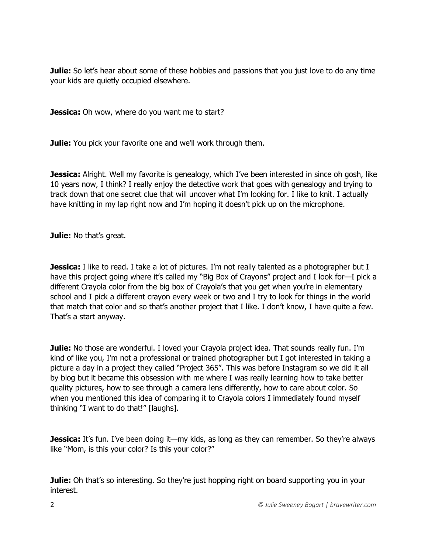**Julie:** So let's hear about some of these hobbies and passions that you just love to do any time your kids are quietly occupied elsewhere.

**Jessica:** Oh wow, where do you want me to start?

**Julie:** You pick your favorite one and we'll work through them.

**Jessica:** Alright. Well my favorite is genealogy, which I've been interested in since oh gosh, like 10 years now, I think? I really enjoy the detective work that goes with genealogy and trying to track down that one secret clue that will uncover what I'm looking for. I like to knit. I actually have knitting in my lap right now and I'm hoping it doesn't pick up on the microphone.

**Julie:** No that's great.

**Jessica:** I like to read. I take a lot of pictures. I'm not really talented as a photographer but I have this project going where it's called my "Big Box of Crayons" project and I look for-I pick a different Crayola color from the big box of Crayola's that you get when you're in elementary school and I pick a different crayon every week or two and I try to look for things in the world that match that color and so that's another project that I like. I don't know, I have quite a few. That's a start anyway.

**Julie:** No those are wonderful. I loved your Crayola project idea. That sounds really fun. I'm kind of like you, I'm not a professional or trained photographer but I got interested in taking a picture a day in a project they called "Project 365". This was before Instagram so we did it all by blog but it became this obsession with me where I was really learning how to take better quality pictures, how to see through a camera lens differently, how to care about color. So when you mentioned this idea of comparing it to Crayola colors I immediately found myself thinking "I want to do that!" [laughs].

**Jessica:** It's fun. I've been doing it—my kids, as long as they can remember. So they're always like "Mom, is this your color? Is this your color?"

**Julie:** Oh that's so interesting. So they're just hopping right on board supporting you in your interest.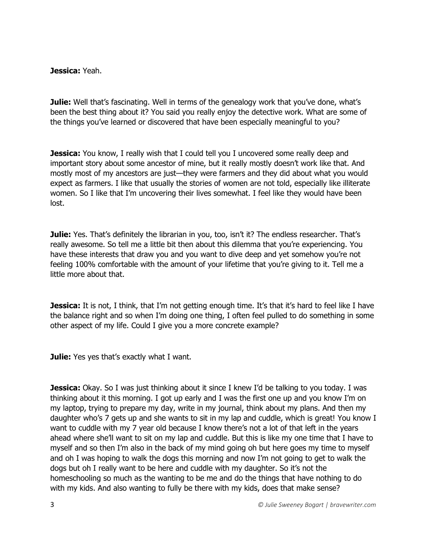### **Jessica:** Yeah.

**Julie:** Well that's fascinating. Well in terms of the genealogy work that you've done, what's been the best thing about it? You said you really enjoy the detective work. What are some of the things you've learned or discovered that have been especially meaningful to you?

**Jessica:** You know, I really wish that I could tell you I uncovered some really deep and important story about some ancestor of mine, but it really mostly doesn't work like that. And mostly most of my ancestors are just—they were farmers and they did about what you would expect as farmers. I like that usually the stories of women are not told, especially like illiterate women. So I like that I'm uncovering their lives somewhat. I feel like they would have been lost.

**Julie:** Yes. That's definitely the librarian in you, too, isn't it? The endless researcher. That's really awesome. So tell me a little bit then about this dilemma that you're experiencing. You have these interests that draw you and you want to dive deep and yet somehow you're not feeling 100% comfortable with the amount of your lifetime that you're giving to it. Tell me a little more about that.

**Jessica:** It is not, I think, that I'm not getting enough time. It's that it's hard to feel like I have the balance right and so when I'm doing one thing, I often feel pulled to do something in some other aspect of my life. Could I give you a more concrete example?

**Julie:** Yes yes that's exactly what I want.

**Jessica:** Okay. So I was just thinking about it since I knew I'd be talking to you today. I was thinking about it this morning. I got up early and I was the first one up and you know I'm on my laptop, trying to prepare my day, write in my journal, think about my plans. And then my daughter who's 7 gets up and she wants to sit in my lap and cuddle, which is great! You know I want to cuddle with my 7 year old because I know there's not a lot of that left in the years ahead where she'll want to sit on my lap and cuddle. But this is like my one time that I have to myself and so then I'm also in the back of my mind going oh but here goes my time to myself and oh I was hoping to walk the dogs this morning and now I'm not going to get to walk the dogs but oh I really want to be here and cuddle with my daughter. So it's not the homeschooling so much as the wanting to be me and do the things that have nothing to do with my kids. And also wanting to fully be there with my kids, does that make sense?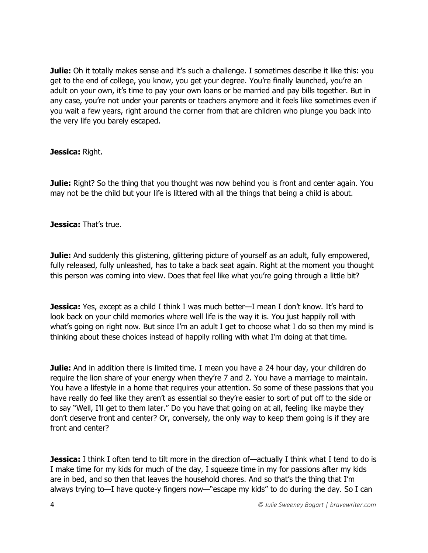**Julie:** Oh it totally makes sense and it's such a challenge. I sometimes describe it like this: you get to the end of college, you know, you get your degree. You're finally launched, you're an adult on your own, it's time to pay your own loans or be married and pay bills together. But in any case, you're not under your parents or teachers anymore and it feels like sometimes even if you wait a few years, right around the corner from that are children who plunge you back into the very life you barely escaped.

## **Jessica:** Right.

**Julie:** Right? So the thing that you thought was now behind you is front and center again. You may not be the child but your life is littered with all the things that being a child is about.

## **Jessica:** That's true.

**Julie:** And suddenly this glistening, glittering picture of yourself as an adult, fully empowered, fully released, fully unleashed, has to take a back seat again. Right at the moment you thought this person was coming into view. Does that feel like what you're going through a little bit?

**Jessica:** Yes, except as a child I think I was much better—I mean I don't know. It's hard to look back on your child memories where well life is the way it is. You just happily roll with what's going on right now. But since I'm an adult I get to choose what I do so then my mind is thinking about these choices instead of happily rolling with what I'm doing at that time.

**Julie:** And in addition there is limited time. I mean you have a 24 hour day, your children do require the lion share of your energy when they're 7 and 2. You have a marriage to maintain. You have a lifestyle in a home that requires your attention. So some of these passions that you have really do feel like they aren't as essential so they're easier to sort of put off to the side or to say "Well, I'll get to them later." Do you have that going on at all, feeling like maybe they don't deserve front and center? Or, conversely, the only way to keep them going is if they are front and center?

**Jessica:** I think I often tend to tilt more in the direction of—actually I think what I tend to do is I make time for my kids for much of the day, I squeeze time in my for passions after my kids are in bed, and so then that leaves the household chores. And so that's the thing that I'm always trying to—I have quote-y fingers now—"escape my kids" to do during the day. So I can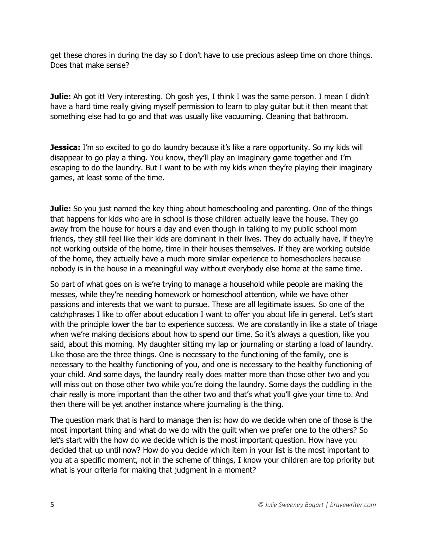get these chores in during the day so I don't have to use precious asleep time on chore things. Does that make sense?

**Julie:** Ah got it! Very interesting. Oh gosh yes, I think I was the same person. I mean I didn't have a hard time really giving myself permission to learn to play guitar but it then meant that something else had to go and that was usually like vacuuming. Cleaning that bathroom.

**Jessica:** I'm so excited to go do laundry because it's like a rare opportunity. So my kids will disappear to go play a thing. You know, they'll play an imaginary game together and I'm escaping to do the laundry. But I want to be with my kids when they're playing their imaginary games, at least some of the time.

**Julie:** So you just named the key thing about homeschooling and parenting. One of the things that happens for kids who are in school is those children actually leave the house. They go away from the house for hours a day and even though in talking to my public school mom friends, they still feel like their kids are dominant in their lives. They do actually have, if they're not working outside of the home, time in their houses themselves. If they are working outside of the home, they actually have a much more similar experience to homeschoolers because nobody is in the house in a meaningful way without everybody else home at the same time.

So part of what goes on is we're trying to manage a household while people are making the messes, while they're needing homework or homeschool attention, while we have other passions and interests that we want to pursue. These are all legitimate issues. So one of the catchphrases I like to offer about education I want to offer you about life in general. Let's start with the principle lower the bar to experience success. We are constantly in like a state of triage when we're making decisions about how to spend our time. So it's always a question, like you said, about this morning. My daughter sitting my lap or journaling or starting a load of laundry. Like those are the three things. One is necessary to the functioning of the family, one is necessary to the healthy functioning of you, and one is necessary to the healthy functioning of your child. And some days, the laundry really does matter more than those other two and you will miss out on those other two while you're doing the laundry. Some days the cuddling in the chair really is more important than the other two and that's what you'll give your time to. And then there will be yet another instance where journaling is the thing.

The question mark that is hard to manage then is: how do we decide when one of those is the most important thing and what do we do with the guilt when we prefer one to the others? So let's start with the how do we decide which is the most important question. How have you decided that up until now? How do you decide which item in your list is the most important to you at a specific moment, not in the scheme of things, I know your children are top priority but what is your criteria for making that judgment in a moment?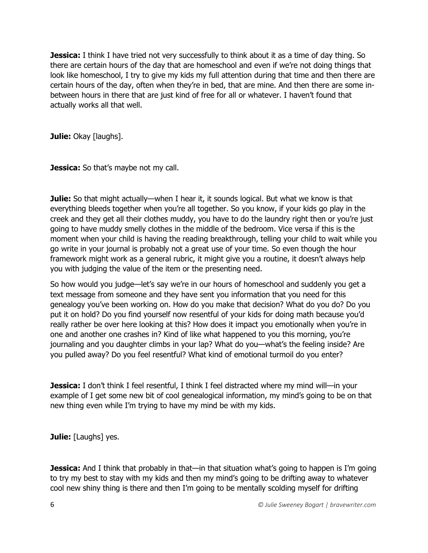**Jessica:** I think I have tried not very successfully to think about it as a time of day thing. So there are certain hours of the day that are homeschool and even if we're not doing things that look like homeschool, I try to give my kids my full attention during that time and then there are certain hours of the day, often when they're in bed, that are mine. And then there are some inbetween hours in there that are just kind of free for all or whatever. I haven't found that actually works all that well.

**Julie: Okay [laughs].** 

**Jessica:** So that's maybe not my call.

**Julie:** So that might actually—when I hear it, it sounds logical. But what we know is that everything bleeds together when you're all together. So you know, if your kids go play in the creek and they get all their clothes muddy, you have to do the laundry right then or you're just going to have muddy smelly clothes in the middle of the bedroom. Vice versa if this is the moment when your child is having the reading breakthrough, telling your child to wait while you go write in your journal is probably not a great use of your time. So even though the hour framework might work as a general rubric, it might give you a routine, it doesn't always help you with judging the value of the item or the presenting need.

So how would you judge—let's say we're in our hours of homeschool and suddenly you get a text message from someone and they have sent you information that you need for this genealogy you've been working on. How do you make that decision? What do you do? Do you put it on hold? Do you find yourself now resentful of your kids for doing math because you'd really rather be over here looking at this? How does it impact you emotionally when you're in one and another one crashes in? Kind of like what happened to you this morning, you're journaling and you daughter climbs in your lap? What do you—what's the feeling inside? Are you pulled away? Do you feel resentful? What kind of emotional turmoil do you enter?

**Jessica:** I don't think I feel resentful, I think I feel distracted where my mind will—in your example of I get some new bit of cool genealogical information, my mind's going to be on that new thing even while I'm trying to have my mind be with my kids.

**Julie:** [Laughs] yes.

**Jessica:** And I think that probably in that—in that situation what's going to happen is I'm going to try my best to stay with my kids and then my mind's going to be drifting away to whatever cool new shiny thing is there and then I'm going to be mentally scolding myself for drifting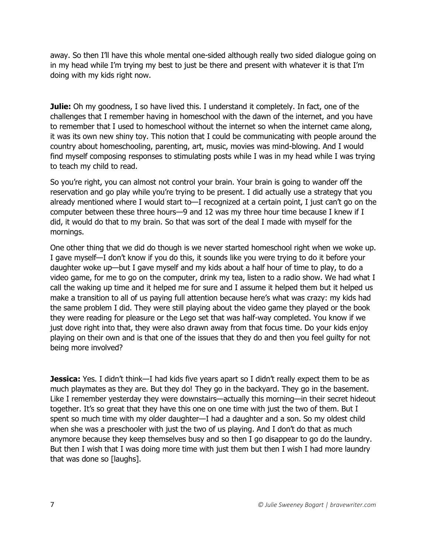away. So then I'll have this whole mental one-sided although really two sided dialogue going on in my head while I'm trying my best to just be there and present with whatever it is that I'm doing with my kids right now.

**Julie:** Oh my goodness, I so have lived this. I understand it completely. In fact, one of the challenges that I remember having in homeschool with the dawn of the internet, and you have to remember that I used to homeschool without the internet so when the internet came along, it was its own new shiny toy. This notion that I could be communicating with people around the country about homeschooling, parenting, art, music, movies was mind-blowing. And I would find myself composing responses to stimulating posts while I was in my head while I was trying to teach my child to read.

So you're right, you can almost not control your brain. Your brain is going to wander off the reservation and go play while you're trying to be present. I did actually use a strategy that you already mentioned where I would start to—I recognized at a certain point, I just can't go on the computer between these three hours—9 and 12 was my three hour time because I knew if I did, it would do that to my brain. So that was sort of the deal I made with myself for the mornings.

One other thing that we did do though is we never started homeschool right when we woke up. I gave myself—I don't know if you do this, it sounds like you were trying to do it before your daughter woke up—but I gave myself and my kids about a half hour of time to play, to do a video game, for me to go on the computer, drink my tea, listen to a radio show. We had what I call the waking up time and it helped me for sure and I assume it helped them but it helped us make a transition to all of us paying full attention because here's what was crazy: my kids had the same problem I did. They were still playing about the video game they played or the book they were reading for pleasure or the Lego set that was half-way completed. You know if we just dove right into that, they were also drawn away from that focus time. Do your kids enjoy playing on their own and is that one of the issues that they do and then you feel guilty for not being more involved?

**Jessica:** Yes. I didn't think—I had kids five years apart so I didn't really expect them to be as much playmates as they are. But they do! They go in the backyard. They go in the basement. Like I remember yesterday they were downstairs—actually this morning—in their secret hideout together. It's so great that they have this one on one time with just the two of them. But I spent so much time with my older daughter—I had a daughter and a son. So my oldest child when she was a preschooler with just the two of us playing. And I don't do that as much anymore because they keep themselves busy and so then I go disappear to go do the laundry. But then I wish that I was doing more time with just them but then I wish I had more laundry that was done so [laughs].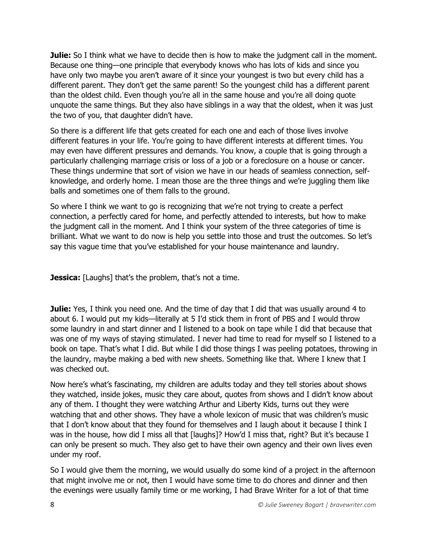**Julie:** So I think what we have to decide then is how to make the judgment call in the moment. Because one thing—one principle that everybody knows who has lots of kids and since you have only two maybe you aren't aware of it since your youngest is two but every child has a different parent. They don't get the same parent! So the youngest child has a different parent than the oldest child. Even though you're all in the same house and you're all doing quote unquote the same things. But they also have siblings in a way that the oldest, when it was just the two of you, that daughter didn't have.

So there is a different life that gets created for each one and each of those lives involve different features in your life. You're going to have different interests at different times. You may even have different pressures and demands. You know, a couple that is going through a particularly challenging marriage crisis or loss of a job or a foreclosure on a house or cancer. These things undermine that sort of vision we have in our heads of seamless connection, selfknowledge, and orderly home. I mean those are the three things and we're juggling them like balls and sometimes one of them falls to the ground.

So where I think we want to go is recognizing that we're not trying to create a perfect connection, a perfectly cared for home, and perfectly attended to interests, but how to make the judgment call in the moment. And I think your system of the three categories of time is brilliant. What we want to do now is help you settle into those and trust the outcomes. So let's say this vague time that you've established for your house maintenance and laundry.

**Jessica:** [Laughs] that's the problem, that's not a time.

**Julie:** Yes, I think you need one. And the time of day that I did that was usually around 4 to about 6. I would put my kids—literally at 5 I'd stick them in front of PBS and I would throw some laundry in and start dinner and I listened to a book on tape while I did that because that was one of my ways of staying stimulated. I never had time to read for myself so I listened to a book on tape. That's what I did. But while I did those things I was peeling potatoes, throwing in the laundry, maybe making a bed with new sheets. Something like that. Where I knew that I was checked out.

Now here's what's fascinating, my children are adults today and they tell stories about shows they watched, inside jokes, music they care about, quotes from shows and I didn't know about any of them. I thought they were watching Arthur and Liberty Kids, turns out they were watching that and other shows. They have a whole lexicon of music that was children's music that I don't know about that they found for themselves and I laugh about it because I think I was in the house, how did I miss all that [laughs]? How'd I miss that, right? But it's because I can only be present so much. They also get to have their own agency and their own lives even under my roof.

So I would give them the morning, we would usually do some kind of a project in the afternoon that might involve me or not, then I would have some time to do chores and dinner and then the evenings were usually family time or me working, I had Brave Writer for a lot of that time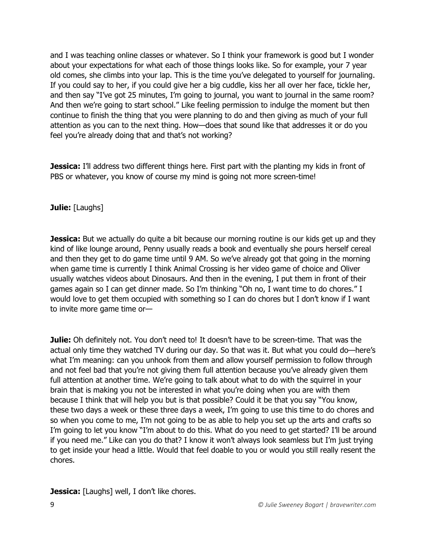and I was teaching online classes or whatever. So I think your framework is good but I wonder about your expectations for what each of those things looks like. So for example, your 7 year old comes, she climbs into your lap. This is the time you've delegated to yourself for journaling. If you could say to her, if you could give her a big cuddle, kiss her all over her face, tickle her, and then say "I've got 25 minutes, I'm going to journal, you want to journal in the same room? And then we're going to start school." Like feeling permission to indulge the moment but then continue to finish the thing that you were planning to do and then giving as much of your full attention as you can to the next thing. How—does that sound like that addresses it or do you feel you're already doing that and that's not working?

**Jessica:** I'll address two different things here. First part with the planting my kids in front of PBS or whatever, you know of course my mind is going not more screen-time!

# **Julie:** [Laughs]

**Jessica:** But we actually do quite a bit because our morning routine is our kids get up and they kind of like lounge around, Penny usually reads a book and eventually she pours herself cereal and then they get to do game time until 9 AM. So we've already got that going in the morning when game time is currently I think Animal Crossing is her video game of choice and Oliver usually watches videos about Dinosaurs. And then in the evening, I put them in front of their games again so I can get dinner made. So I'm thinking "Oh no, I want time to do chores." I would love to get them occupied with something so I can do chores but I don't know if I want to invite more game time or—

**Julie:** Oh definitely not. You don't need to! It doesn't have to be screen-time. That was the actual only time they watched TV during our day. So that was it. But what you could do—here's what I'm meaning: can you unhook from them and allow yourself permission to follow through and not feel bad that you're not giving them full attention because you've already given them full attention at another time. We're going to talk about what to do with the squirrel in your brain that is making you not be interested in what you're doing when you are with them because I think that will help you but is that possible? Could it be that you say "You know, these two days a week or these three days a week, I'm going to use this time to do chores and so when you come to me, I'm not going to be as able to help you set up the arts and crafts so I'm going to let you know "I'm about to do this. What do you need to get started? I'll be around if you need me." Like can you do that? I know it won't always look seamless but I'm just trying to get inside your head a little. Would that feel doable to you or would you still really resent the chores.

**Jessica:** [Laughs] well, I don't like chores.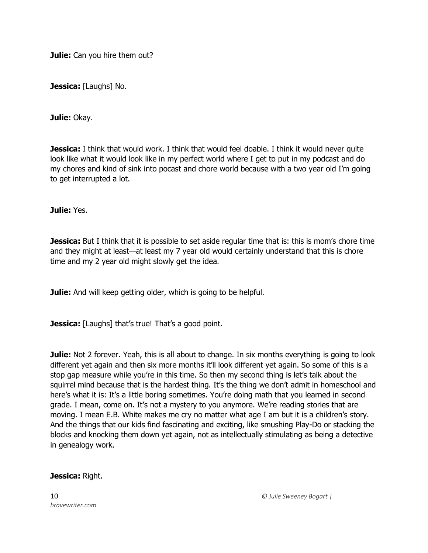**Julie:** Can you hire them out?

**Jessica:** [Laughs] No.

**Julie:** Okay.

**Jessica:** I think that would work. I think that would feel doable. I think it would never quite look like what it would look like in my perfect world where I get to put in my podcast and do my chores and kind of sink into pocast and chore world because with a two year old I'm going to get interrupted a lot.

**Julie:** Yes.

**Jessica:** But I think that it is possible to set aside regular time that is: this is mom's chore time and they might at least—at least my 7 year old would certainly understand that this is chore time and my 2 year old might slowly get the idea.

**Julie:** And will keep getting older, which is going to be helpful.

**Jessica:** [Laughs] that's true! That's a good point.

**Julie:** Not 2 forever. Yeah, this is all about to change. In six months everything is going to look different yet again and then six more months it'll look different yet again. So some of this is a stop gap measure while you're in this time. So then my second thing is let's talk about the squirrel mind because that is the hardest thing. It's the thing we don't admit in homeschool and here's what it is: It's a little boring sometimes. You're doing math that you learned in second grade. I mean, come on. It's not a mystery to you anymore. We're reading stories that are moving. I mean E.B. White makes me cry no matter what age I am but it is a children's story. And the things that our kids find fascinating and exciting, like smushing Play-Do or stacking the blocks and knocking them down yet again, not as intellectually stimulating as being a detective in genealogy work.

#### **Jessica:** Right.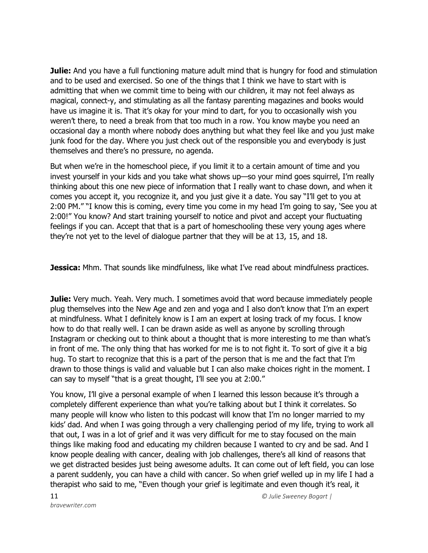**Julie:** And you have a full functioning mature adult mind that is hungry for food and stimulation and to be used and exercised. So one of the things that I think we have to start with is admitting that when we commit time to being with our children, it may not feel always as magical, connect-y, and stimulating as all the fantasy parenting magazines and books would have us imagine it is. That it's okay for your mind to dart, for you to occasionally wish you weren't there, to need a break from that too much in a row. You know maybe you need an occasional day a month where nobody does anything but what they feel like and you just make junk food for the day. Where you just check out of the responsible you and everybody is just themselves and there's no pressure, no agenda.

But when we're in the homeschool piece, if you limit it to a certain amount of time and you invest yourself in your kids and you take what shows up—so your mind goes squirrel, I'm really thinking about this one new piece of information that I really want to chase down, and when it comes you accept it, you recognize it, and you just give it a date. You say "I'll get to you at 2:00 PM." "I know this is coming, every time you come in my head I'm going to say, 'See you at 2:00!" You know? And start training yourself to notice and pivot and accept your fluctuating feelings if you can. Accept that that is a part of homeschooling these very young ages where they're not yet to the level of dialogue partner that they will be at 13, 15, and 18.

**Jessica:** Mhm. That sounds like mindfulness, like what I've read about mindfulness practices.

**Julie:** Very much. Yeah. Very much. I sometimes avoid that word because immediately people plug themselves into the New Age and zen and yoga and I also don't know that I'm an expert at mindfulness. What I definitely know is I am an expert at losing track of my focus. I know how to do that really well. I can be drawn aside as well as anyone by scrolling through Instagram or checking out to think about a thought that is more interesting to me than what's in front of me. The only thing that has worked for me is to not fight it. To sort of give it a big hug. To start to recognize that this is a part of the person that is me and the fact that I'm drawn to those things is valid and valuable but I can also make choices right in the moment. I can say to myself "that is a great thought, I'll see you at 2:00."

You know, I'll give a personal example of when I learned this lesson because it's through a completely different experience than what you're talking about but I think it correlates. So many people will know who listen to this podcast will know that I'm no longer married to my kids' dad. And when I was going through a very challenging period of my life, trying to work all that out, I was in a lot of grief and it was very difficult for me to stay focused on the main things like making food and educating my children because I wanted to cry and be sad. And I know people dealing with cancer, dealing with job challenges, there's all kind of reasons that we get distracted besides just being awesome adults. It can come out of left field, you can lose a parent suddenly, you can have a child with cancer. So when grief welled up in my life I had a therapist who said to me, "Even though your grief is legitimate and even though it's real, it

*bravewriter.com*

11 *© Julie Sweeney Bogart |*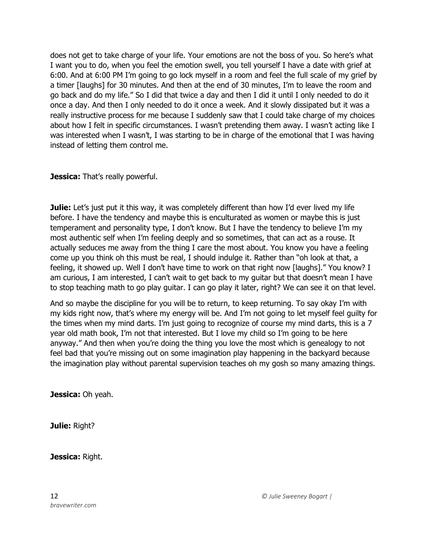does not get to take charge of your life. Your emotions are not the boss of you. So here's what I want you to do, when you feel the emotion swell, you tell yourself I have a date with grief at 6:00. And at 6:00 PM I'm going to go lock myself in a room and feel the full scale of my grief by a timer [laughs] for 30 minutes. And then at the end of 30 minutes, I'm to leave the room and go back and do my life." So I did that twice a day and then I did it until I only needed to do it once a day. And then I only needed to do it once a week. And it slowly dissipated but it was a really instructive process for me because I suddenly saw that I could take charge of my choices about how I felt in specific circumstances. I wasn't pretending them away. I wasn't acting like I was interested when I wasn't, I was starting to be in charge of the emotional that I was having instead of letting them control me.

**Jessica:** That's really powerful.

**Julie:** Let's just put it this way, it was completely different than how I'd ever lived my life before. I have the tendency and maybe this is enculturated as women or maybe this is just temperament and personality type, I don't know. But I have the tendency to believe I'm my most authentic self when I'm feeling deeply and so sometimes, that can act as a rouse. It actually seduces me away from the thing I care the most about. You know you have a feeling come up you think oh this must be real, I should indulge it. Rather than "oh look at that, a feeling, it showed up. Well I don't have time to work on that right now [laughs]." You know? I am curious, I am interested, I can't wait to get back to my guitar but that doesn't mean I have to stop teaching math to go play guitar. I can go play it later, right? We can see it on that level.

And so maybe the discipline for you will be to return, to keep returning. To say okay I'm with my kids right now, that's where my energy will be. And I'm not going to let myself feel guilty for the times when my mind darts. I'm just going to recognize of course my mind darts, this is a 7 year old math book, I'm not that interested. But I love my child so I'm going to be here anyway." And then when you're doing the thing you love the most which is genealogy to not feel bad that you're missing out on some imagination play happening in the backyard because the imagination play without parental supervision teaches oh my gosh so many amazing things.

**Jessica:** Oh yeah.

**Julie:** Right?

**Jessica:** Right.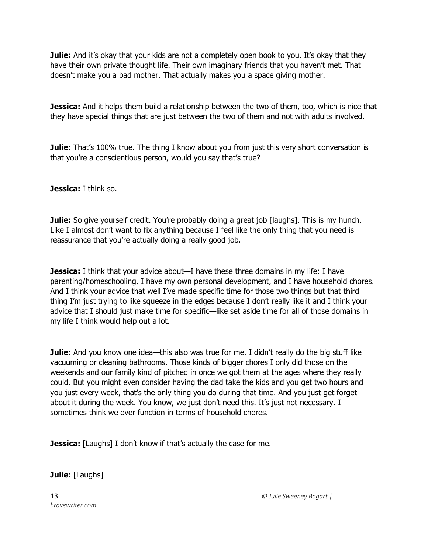**Julie:** And it's okay that your kids are not a completely open book to you. It's okay that they have their own private thought life. Their own imaginary friends that you haven't met. That doesn't make you a bad mother. That actually makes you a space giving mother.

**Jessica:** And it helps them build a relationship between the two of them, too, which is nice that they have special things that are just between the two of them and not with adults involved.

**Julie:** That's 100% true. The thing I know about you from just this very short conversation is that you're a conscientious person, would you say that's true?

**Jessica:** I think so.

**Julie:** So give yourself credit. You're probably doing a great job [laughs]. This is my hunch. Like I almost don't want to fix anything because I feel like the only thing that you need is reassurance that you're actually doing a really good job.

**Jessica:** I think that your advice about—I have these three domains in my life: I have parenting/homeschooling, I have my own personal development, and I have household chores. And I think your advice that well I've made specific time for those two things but that third thing I'm just trying to like squeeze in the edges because I don't really like it and I think your advice that I should just make time for specific—like set aside time for all of those domains in my life I think would help out a lot.

**Julie:** And you know one idea—this also was true for me. I didn't really do the big stuff like vacuuming or cleaning bathrooms. Those kinds of bigger chores I only did those on the weekends and our family kind of pitched in once we got them at the ages where they really could. But you might even consider having the dad take the kids and you get two hours and you just every week, that's the only thing you do during that time. And you just get forget about it during the week. You know, we just don't need this. It's just not necessary. I sometimes think we over function in terms of household chores.

**Jessica:** [Laughs] I don't know if that's actually the case for me.

**Julie:** [Laughs]

*bravewriter.com*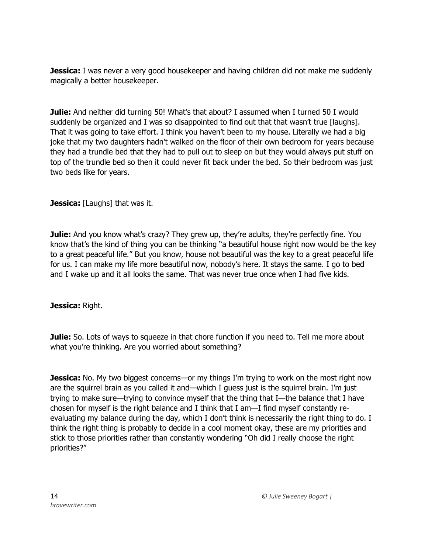**Jessica:** I was never a very good housekeeper and having children did not make me suddenly magically a better housekeeper.

**Julie:** And neither did turning 50! What's that about? I assumed when I turned 50 I would suddenly be organized and I was so disappointed to find out that that wasn't true [laughs]. That it was going to take effort. I think you haven't been to my house. Literally we had a big joke that my two daughters hadn't walked on the floor of their own bedroom for years because they had a trundle bed that they had to pull out to sleep on but they would always put stuff on top of the trundle bed so then it could never fit back under the bed. So their bedroom was just two beds like for years.

**Jessica:** [Laughs] that was it.

**Julie:** And you know what's crazy? They grew up, they're adults, they're perfectly fine. You know that's the kind of thing you can be thinking "a beautiful house right now would be the key to a great peaceful life." But you know, house not beautiful was the key to a great peaceful life for us. I can make my life more beautiful now, nobody's here. It stays the same. I go to bed and I wake up and it all looks the same. That was never true once when I had five kids.

**Jessica:** Right.

Julie: So. Lots of ways to squeeze in that chore function if you need to. Tell me more about what you're thinking. Are you worried about something?

**Jessica:** No. My two biggest concerns—or my things I'm trying to work on the most right now are the squirrel brain as you called it and—which I guess just is the squirrel brain. I'm just trying to make sure—trying to convince myself that the thing that I—the balance that I have chosen for myself is the right balance and I think that I am—I find myself constantly reevaluating my balance during the day, which I don't think is necessarily the right thing to do. I think the right thing is probably to decide in a cool moment okay, these are my priorities and stick to those priorities rather than constantly wondering "Oh did I really choose the right priorities?"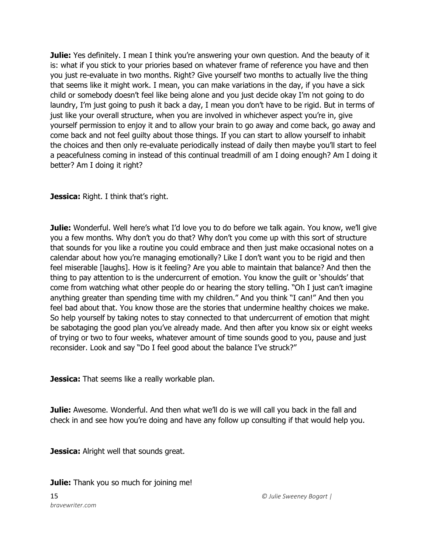**Julie:** Yes definitely. I mean I think you're answering your own question. And the beauty of it is: what if you stick to your priories based on whatever frame of reference you have and then you just re-evaluate in two months. Right? Give yourself two months to actually live the thing that seems like it might work. I mean, you can make variations in the day, if you have a sick child or somebody doesn't feel like being alone and you just decide okay I'm not going to do laundry, I'm just going to push it back a day, I mean you don't have to be rigid. But in terms of just like your overall structure, when you are involved in whichever aspect you're in, give yourself permission to enjoy it and to allow your brain to go away and come back, go away and come back and not feel guilty about those things. If you can start to allow yourself to inhabit the choices and then only re-evaluate periodically instead of daily then maybe you'll start to feel a peacefulness coming in instead of this continual treadmill of am I doing enough? Am I doing it better? Am I doing it right?

# **Jessica:** Right. I think that's right.

**Julie:** Wonderful. Well here's what I'd love you to do before we talk again. You know, we'll give you a few months. Why don't you do that? Why don't you come up with this sort of structure that sounds for you like a routine you could embrace and then just make occasional notes on a calendar about how you're managing emotionally? Like I don't want you to be rigid and then feel miserable [laughs]. How is it feeling? Are you able to maintain that balance? And then the thing to pay attention to is the undercurrent of emotion. You know the guilt or 'shoulds' that come from watching what other people do or hearing the story telling. "Oh I just can't imagine anything greater than spending time with my children." And you think "I can!" And then you feel bad about that. You know those are the stories that undermine healthy choices we make. So help yourself by taking notes to stay connected to that undercurrent of emotion that might be sabotaging the good plan you've already made. And then after you know six or eight weeks of trying or two to four weeks, whatever amount of time sounds good to you, pause and just reconsider. Look and say "Do I feel good about the balance I've struck?"

**Jessica:** That seems like a really workable plan.

**Julie:** Awesome. Wonderful. And then what we'll do is we will call you back in the fall and check in and see how you're doing and have any follow up consulting if that would help you.

**Jessica:** Alright well that sounds great.

**Julie:** Thank you so much for joining me!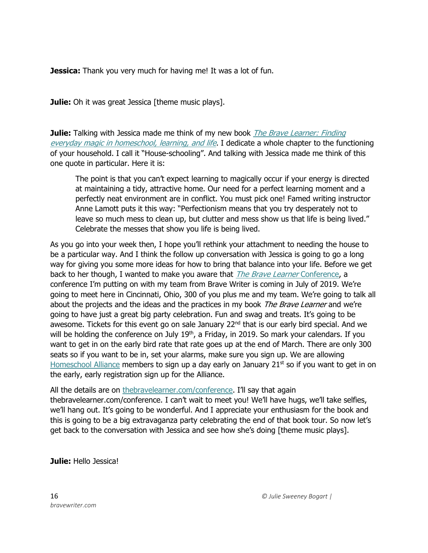**Jessica:** Thank you very much for having me! It was a lot of fun.

**Julie:** Oh it was great Jessica [theme music plays].

**Julie:** Talking with Jessica made me think of my new book *The Brave Learner: Finding* [everyday magic in homeschool, learning, and life](https://thebravelearner.com/). I dedicate a whole chapter to the functioning of your household. I call it "House-schooling". And talking with Jessica made me think of this one quote in particular. Here it is:

The point is that you can't expect learning to magically occur if your energy is directed at maintaining a tidy, attractive home. Our need for a perfect learning moment and a perfectly neat environment are in conflict. You must pick one! Famed writing instructor Anne Lamott puts it this way: "Perfectionism means that you try desperately not to leave so much mess to clean up, but clutter and mess show us that life is being lived." Celebrate the messes that show you life is being lived.

As you go into your week then, I hope you'll rethink your attachment to needing the house to be a particular way. And I think the follow up conversation with Jessica is going to go a long way for giving you some more ideas for how to bring that balance into your life. Before we get back to her though, I wanted to make you aware that *The Brave Learner* Conference, a conference I'm putting on with my team from Brave Writer is coming in July of 2019. We're going to meet here in Cincinnati, Ohio, 300 of you plus me and my team. We're going to talk all about the projects and the ideas and the practices in my book The Brave Learner and we're going to have just a great big party celebration. Fun and swag and treats. It's going to be awesome. Tickets for this event go on sale January 22<sup>nd</sup> that is our early bird special. And we will be holding the conference on July  $19<sup>th</sup>$ , a Friday, in 2019. So mark your calendars. If you want to get in on the early bird rate that rate goes up at the end of March. There are only 300 seats so if you want to be in, set your alarms, make sure you sign up. We are allowing [Homeschool Alliance](https://bravewriter.com/homeschool-alliance) members to sign up a day early on January  $21<sup>st</sup>$  so if you want to get in on the early, early registration sign up for the Alliance.

All the details are on [thebravelearner.com/conference](https://thebravelearner.com/conference). I'll say that again thebravelearner.com/conference. I can't wait to meet you! We'll have hugs, we'll take selfies, we'll hang out. It's going to be wonderful. And I appreciate your enthusiasm for the book and this is going to be a big extravaganza party celebrating the end of that book tour. So now let's get back to the conversation with Jessica and see how she's doing [theme music plays].

**Julie:** Hello Jessica!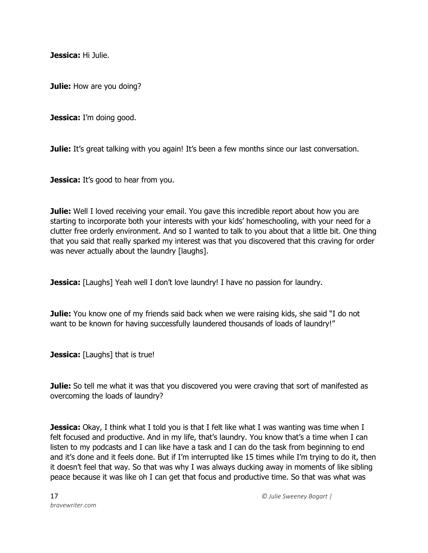**Jessica:** Hi Julie.

**Julie:** How are you doing?

**Jessica:** I'm doing good.

**Julie:** It's great talking with you again! It's been a few months since our last conversation.

**Jessica:** It's good to hear from you.

**Julie:** Well I loved receiving your email. You gave this incredible report about how you are starting to incorporate both your interests with your kids' homeschooling, with your need for a clutter free orderly environment. And so I wanted to talk to you about that a little bit. One thing that you said that really sparked my interest was that you discovered that this craving for order was never actually about the laundry [laughs].

**Jessica:** [Laughs] Yeah well I don't love laundry! I have no passion for laundry.

**Julie:** You know one of my friends said back when we were raising kids, she said "I do not want to be known for having successfully laundered thousands of loads of laundry!"

**Jessica:** [Laughs] that is true!

**Julie:** So tell me what it was that you discovered you were craving that sort of manifested as overcoming the loads of laundry?

**Jessica:** Okay, I think what I told you is that I felt like what I was wanting was time when I felt focused and productive. And in my life, that's laundry. You know that's a time when I can listen to my podcasts and I can like have a task and I can do the task from beginning to end and it's done and it feels done. But if I'm interrupted like 15 times while I'm trying to do it, then it doesn't feel that way. So that was why I was always ducking away in moments of like sibling peace because it was like oh I can get that focus and productive time. So that was what was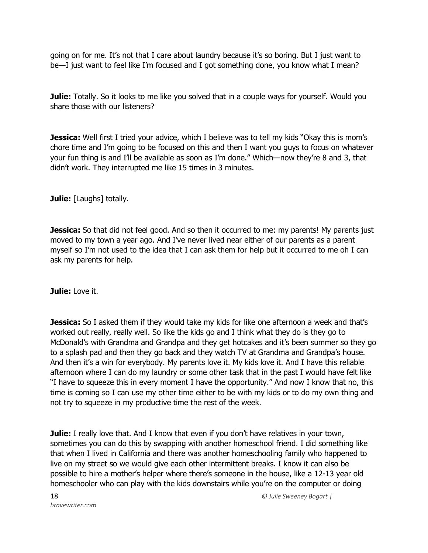going on for me. It's not that I care about laundry because it's so boring. But I just want to be—I just want to feel like I'm focused and I got something done, you know what I mean?

**Julie:** Totally. So it looks to me like you solved that in a couple ways for yourself. Would you share those with our listeners?

**Jessica:** Well first I tried your advice, which I believe was to tell my kids "Okay this is mom's chore time and I'm going to be focused on this and then I want you guys to focus on whatever your fun thing is and I'll be available as soon as I'm done." Which—now they're 8 and 3, that didn't work. They interrupted me like 15 times in 3 minutes.

**Julie:** [Laughs] totally.

**Jessica:** So that did not feel good. And so then it occurred to me: my parents! My parents just moved to my town a year ago. And I've never lived near either of our parents as a parent myself so I'm not used to the idea that I can ask them for help but it occurred to me oh I can ask my parents for help.

**Julie:** Love it.

**Jessica:** So I asked them if they would take my kids for like one afternoon a week and that's worked out really, really well. So like the kids go and I think what they do is they go to McDonald's with Grandma and Grandpa and they get hotcakes and it's been summer so they go to a splash pad and then they go back and they watch TV at Grandma and Grandpa's house. And then it's a win for everybody. My parents love it. My kids love it. And I have this reliable afternoon where I can do my laundry or some other task that in the past I would have felt like "I have to squeeze this in every moment I have the opportunity." And now I know that no, this time is coming so I can use my other time either to be with my kids or to do my own thing and not try to squeeze in my productive time the rest of the week.

**Julie:** I really love that. And I know that even if you don't have relatives in your town, sometimes you can do this by swapping with another homeschool friend. I did something like that when I lived in California and there was another homeschooling family who happened to live on my street so we would give each other intermittent breaks. I know it can also be possible to hire a mother's helper where there's someone in the house, like a 12-13 year old homeschooler who can play with the kids downstairs while you're on the computer or doing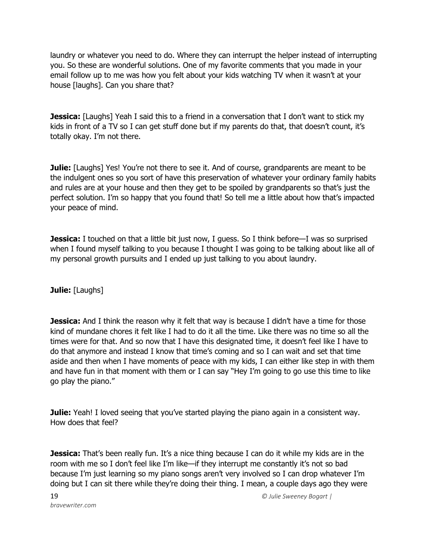laundry or whatever you need to do. Where they can interrupt the helper instead of interrupting you. So these are wonderful solutions. One of my favorite comments that you made in your email follow up to me was how you felt about your kids watching TV when it wasn't at your house [laughs]. Can you share that?

**Jessica:** [Laughs] Yeah I said this to a friend in a conversation that I don't want to stick my kids in front of a TV so I can get stuff done but if my parents do that, that doesn't count, it's totally okay. I'm not there.

**Julie:** [Laughs] Yes! You're not there to see it. And of course, grandparents are meant to be the indulgent ones so you sort of have this preservation of whatever your ordinary family habits and rules are at your house and then they get to be spoiled by grandparents so that's just the perfect solution. I'm so happy that you found that! So tell me a little about how that's impacted your peace of mind.

**Jessica:** I touched on that a little bit just now, I guess. So I think before—I was so surprised when I found myself talking to you because I thought I was going to be talking about like all of my personal growth pursuits and I ended up just talking to you about laundry.

**Julie:** [Laughs]

**Jessica:** And I think the reason why it felt that way is because I didn't have a time for those kind of mundane chores it felt like I had to do it all the time. Like there was no time so all the times were for that. And so now that I have this designated time, it doesn't feel like I have to do that anymore and instead I know that time's coming and so I can wait and set that time aside and then when I have moments of peace with my kids, I can either like step in with them and have fun in that moment with them or I can say "Hey I'm going to go use this time to like go play the piano."

**Julie:** Yeah! I loved seeing that you've started playing the piano again in a consistent way. How does that feel?

**Jessica:** That's been really fun. It's a nice thing because I can do it while my kids are in the room with me so I don't feel like I'm like—if they interrupt me constantly it's not so bad because I'm just learning so my piano songs aren't very involved so I can drop whatever I'm doing but I can sit there while they're doing their thing. I mean, a couple days ago they were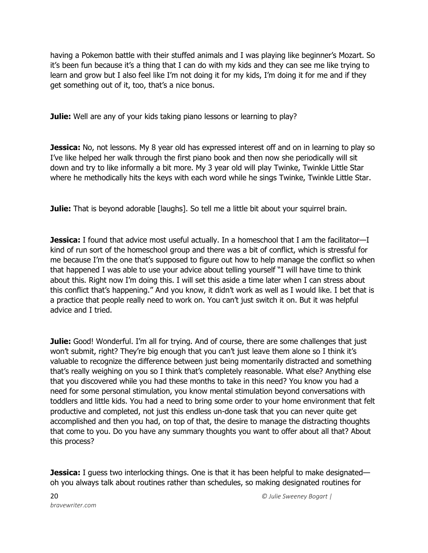having a Pokemon battle with their stuffed animals and I was playing like beginner's Mozart. So it's been fun because it's a thing that I can do with my kids and they can see me like trying to learn and grow but I also feel like I'm not doing it for my kids, I'm doing it for me and if they get something out of it, too, that's a nice bonus.

**Julie:** Well are any of your kids taking piano lessons or learning to play?

**Jessica:** No, not lessons. My 8 year old has expressed interest off and on in learning to play so I've like helped her walk through the first piano book and then now she periodically will sit down and try to like informally a bit more. My 3 year old will play Twinke, Twinkle Little Star where he methodically hits the keys with each word while he sings Twinke, Twinkle Little Star.

**Julie:** That is beyond adorable [laughs]. So tell me a little bit about your squirrel brain.

**Jessica:** I found that advice most useful actually. In a homeschool that I am the facilitator—I kind of run sort of the homeschool group and there was a bit of conflict, which is stressful for me because I'm the one that's supposed to figure out how to help manage the conflict so when that happened I was able to use your advice about telling yourself "I will have time to think about this. Right now I'm doing this. I will set this aside a time later when I can stress about this conflict that's happening." And you know, it didn't work as well as I would like. I bet that is a practice that people really need to work on. You can't just switch it on. But it was helpful advice and I tried.

**Julie:** Good! Wonderful. I'm all for trying. And of course, there are some challenges that just won't submit, right? They're big enough that you can't just leave them alone so I think it's valuable to recognize the difference between just being momentarily distracted and something that's really weighing on you so I think that's completely reasonable. What else? Anything else that you discovered while you had these months to take in this need? You know you had a need for some personal stimulation, you know mental stimulation beyond conversations with toddlers and little kids. You had a need to bring some order to your home environment that felt productive and completed, not just this endless un-done task that you can never quite get accomplished and then you had, on top of that, the desire to manage the distracting thoughts that come to you. Do you have any summary thoughts you want to offer about all that? About this process?

**Jessica:** I guess two interlocking things. One is that it has been helpful to make designated oh you always talk about routines rather than schedules, so making designated routines for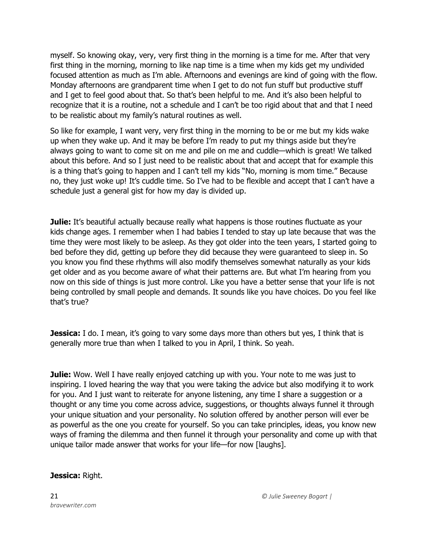myself. So knowing okay, very, very first thing in the morning is a time for me. After that very first thing in the morning, morning to like nap time is a time when my kids get my undivided focused attention as much as I'm able. Afternoons and evenings are kind of going with the flow. Monday afternoons are grandparent time when I get to do not fun stuff but productive stuff and I get to feel good about that. So that's been helpful to me. And it's also been helpful to recognize that it is a routine, not a schedule and I can't be too rigid about that and that I need to be realistic about my family's natural routines as well.

So like for example, I want very, very first thing in the morning to be or me but my kids wake up when they wake up. And it may be before I'm ready to put my things aside but they're always going to want to come sit on me and pile on me and cuddle—which is great! We talked about this before. And so I just need to be realistic about that and accept that for example this is a thing that's going to happen and I can't tell my kids "No, morning is mom time." Because no, they just woke up! It's cuddle time. So I've had to be flexible and accept that I can't have a schedule just a general gist for how my day is divided up.

**Julie:** It's beautiful actually because really what happens is those routines fluctuate as your kids change ages. I remember when I had babies I tended to stay up late because that was the time they were most likely to be asleep. As they got older into the teen years, I started going to bed before they did, getting up before they did because they were guaranteed to sleep in. So you know you find these rhythms will also modify themselves somewhat naturally as your kids get older and as you become aware of what their patterns are. But what I'm hearing from you now on this side of things is just more control. Like you have a better sense that your life is not being controlled by small people and demands. It sounds like you have choices. Do you feel like that's true?

**Jessica:** I do. I mean, it's going to vary some days more than others but yes, I think that is generally more true than when I talked to you in April, I think. So yeah.

**Julie:** Wow. Well I have really enjoyed catching up with you. Your note to me was just to inspiring. I loved hearing the way that you were taking the advice but also modifying it to work for you. And I just want to reiterate for anyone listening, any time I share a suggestion or a thought or any time you come across advice, suggestions, or thoughts always funnel it through your unique situation and your personality. No solution offered by another person will ever be as powerful as the one you create for yourself. So you can take principles, ideas, you know new ways of framing the dilemma and then funnel it through your personality and come up with that unique tailor made answer that works for your life—for now [laughs].

#### **Jessica:** Right.